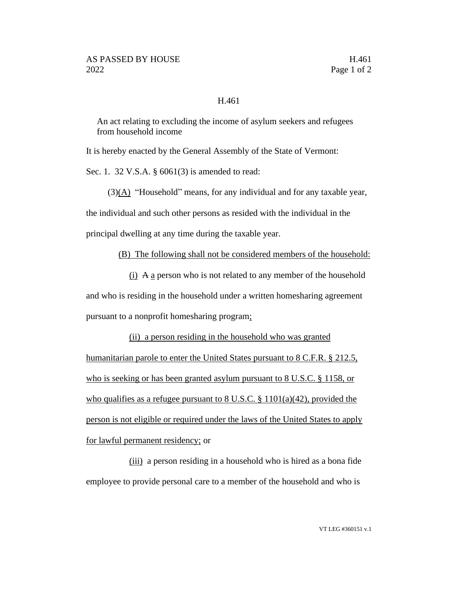## H.461

An act relating to excluding the income of asylum seekers and refugees from household income

It is hereby enacted by the General Assembly of the State of Vermont:

Sec. 1. 32 V.S.A. § 6061(3) is amended to read:

 $(3)(A)$  "Household" means, for any individual and for any taxable year,

the individual and such other persons as resided with the individual in the

principal dwelling at any time during the taxable year.

(B) The following shall not be considered members of the household:

 $(i)$  A a person who is not related to any member of the household and who is residing in the household under a written homesharing agreement pursuant to a nonprofit homesharing program;

(ii) a person residing in the household who was granted humanitarian parole to enter the United States pursuant to 8 C.F.R. § 212.5, who is seeking or has been granted asylum pursuant to 8 U.S.C. § 1158, or who qualifies as a refugee pursuant to  $8 \text{ U.S.C. }$   $\frac{8 \text{ 1101(a)(42)}}{2 \text{ 1101(b)(42)}}$ person is not eligible or required under the laws of the United States to apply for lawful permanent residency; or

(iii) a person residing in a household who is hired as a bona fide employee to provide personal care to a member of the household and who is